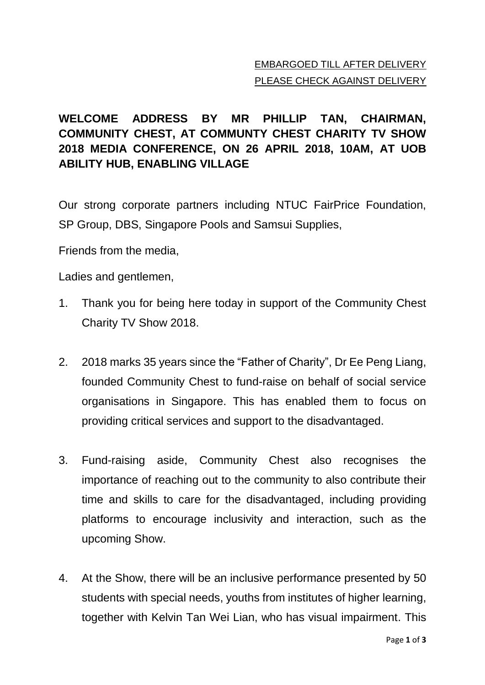## EMBARGOED TILL AFTER DELIVERY PLEASE CHECK AGAINST DELIVERY

## **WELCOME ADDRESS BY MR PHILLIP TAN, CHAIRMAN, COMMUNITY CHEST, AT COMMUNTY CHEST CHARITY TV SHOW 2018 MEDIA CONFERENCE, ON 26 APRIL 2018, 10AM, AT UOB ABILITY HUB, ENABLING VILLAGE**

Our strong corporate partners including NTUC FairPrice Foundation, SP Group, DBS, Singapore Pools and Samsui Supplies,

Friends from the media,

Ladies and gentlemen,

- 1. Thank you for being here today in support of the Community Chest Charity TV Show 2018.
- 2. 2018 marks 35 years since the "Father of Charity", Dr Ee Peng Liang, founded Community Chest to fund-raise on behalf of social service organisations in Singapore. This has enabled them to focus on providing critical services and support to the disadvantaged.
- 3. Fund-raising aside, Community Chest also recognises the importance of reaching out to the community to also contribute their time and skills to care for the disadvantaged, including providing platforms to encourage inclusivity and interaction, such as the upcoming Show.
- 4. At the Show, there will be an inclusive performance presented by 50 students with special needs, youths from institutes of higher learning, together with Kelvin Tan Wei Lian, who has visual impairment. This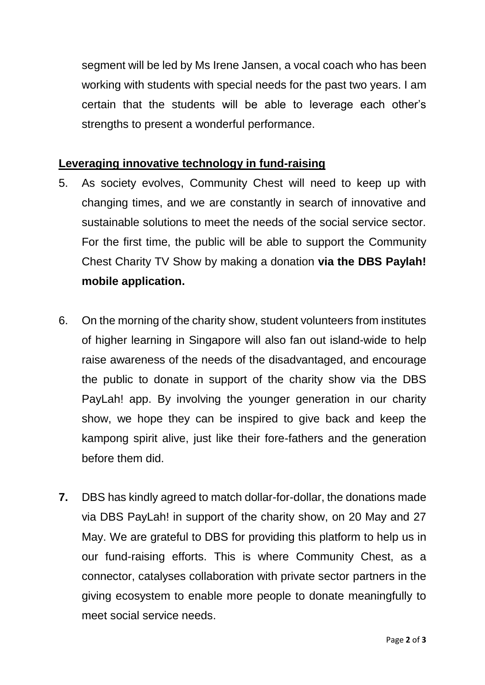segment will be led by Ms Irene Jansen, a vocal coach who has been working with students with special needs for the past two years. I am certain that the students will be able to leverage each other's strengths to present a wonderful performance.

## **Leveraging innovative technology in fund-raising**

- 5. As society evolves, Community Chest will need to keep up with changing times, and we are constantly in search of innovative and sustainable solutions to meet the needs of the social service sector. For the first time, the public will be able to support the Community Chest Charity TV Show by making a donation **via the DBS Paylah! mobile application.**
- 6. On the morning of the charity show, student volunteers from institutes of higher learning in Singapore will also fan out island-wide to help raise awareness of the needs of the disadvantaged, and encourage the public to donate in support of the charity show via the DBS PayLah! app. By involving the younger generation in our charity show, we hope they can be inspired to give back and keep the kampong spirit alive, just like their fore-fathers and the generation before them did.
- **7.** DBS has kindly agreed to match dollar-for-dollar, the donations made via DBS PayLah! in support of the charity show, on 20 May and 27 May. We are grateful to DBS for providing this platform to help us in our fund-raising efforts. This is where Community Chest, as a connector, catalyses collaboration with private sector partners in the giving ecosystem to enable more people to donate meaningfully to meet social service needs.